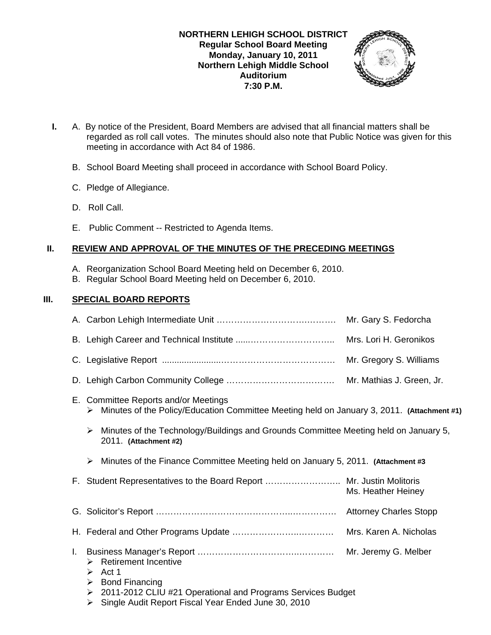

- **I.** A. By notice of the President, Board Members are advised that all financial matters shall be regarded as roll call votes. The minutes should also note that Public Notice was given for this meeting in accordance with Act 84 of 1986.
	- B. School Board Meeting shall proceed in accordance with School Board Policy.
	- C. Pledge of Allegiance.
	- D. Roll Call.
	- E. Public Comment -- Restricted to Agenda Items.

# **II. REVIEW AND APPROVAL OF THE MINUTES OF THE PRECEDING MEETINGS**

- A. Reorganization School Board Meeting held on December 6, 2010.
- B. Regular School Board Meeting held on December 6, 2010.

# **III. SPECIAL BOARD REPORTS**

|    |                                                                                                                                                                                                              | Mr. Gary S. Fedorcha      |  |
|----|--------------------------------------------------------------------------------------------------------------------------------------------------------------------------------------------------------------|---------------------------|--|
|    |                                                                                                                                                                                                              | Mrs. Lori H. Geronikos    |  |
|    |                                                                                                                                                                                                              | Mr. Gregory S. Williams   |  |
|    |                                                                                                                                                                                                              | Mr. Mathias J. Green, Jr. |  |
|    | E. Committee Reports and/or Meetings<br>Minutes of the Policy/Education Committee Meeting held on January 3, 2011. (Attachment #1)<br>➤                                                                      |                           |  |
|    | Minutes of the Technology/Buildings and Grounds Committee Meeting held on January 5,<br>➤<br>2011. (Attachment #2)                                                                                           |                           |  |
|    | Minutes of the Finance Committee Meeting held on January 5, 2011. (Attachment #3<br>≻                                                                                                                        |                           |  |
|    | F. Student Representatives to the Board Report  Mr. Justin Molitoris                                                                                                                                         | Ms. Heather Heiney        |  |
|    |                                                                                                                                                                                                              |                           |  |
|    |                                                                                                                                                                                                              | Mrs. Karen A. Nicholas    |  |
| L. | <b>Retirement Incentive</b><br>➤<br>Act 1<br>➤<br><b>Bond Financing</b><br>➤<br>2011-2012 CLIU #21 Operational and Programs Services Budget<br>➤<br>Single Audit Report Fiscal Year Ended June 30, 2010<br>➤ | Mr. Jeremy G. Melber      |  |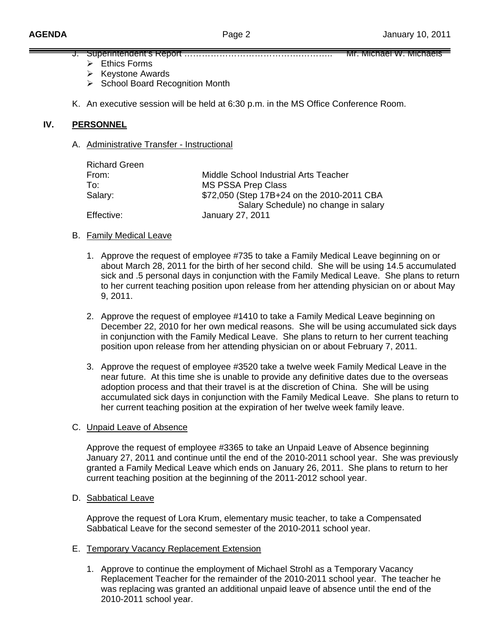- J. Superintendent's Report ………………………………….……….. Mr. Michael W. Michaels
	- $\triangleright$  Ethics Forms
	- $\triangleright$  Keystone Awards
	- ¾ School Board Recognition Month
- K. An executive session will be held at 6:30 p.m. in the MS Office Conference Room.

## **IV. PERSONNEL**

A. Administrative Transfer - Instructional

| <b>Richard Green</b> |                                                                                    |
|----------------------|------------------------------------------------------------------------------------|
| From:                | Middle School Industrial Arts Teacher                                              |
| To∶                  | <b>MS PSSA Prep Class</b>                                                          |
| Salary:              | \$72,050 (Step 17B+24 on the 2010-2011 CBA<br>Salary Schedule) no change in salary |
| Effective:           | January 27, 2011                                                                   |

## B. Family Medical Leave

- 1. Approve the request of employee #735 to take a Family Medical Leave beginning on or about March 28, 2011 for the birth of her second child. She will be using 14.5 accumulated sick and .5 personal days in conjunction with the Family Medical Leave. She plans to return to her current teaching position upon release from her attending physician on or about May 9, 2011.
- 2. Approve the request of employee #1410 to take a Family Medical Leave beginning on December 22, 2010 for her own medical reasons. She will be using accumulated sick days in conjunction with the Family Medical Leave. She plans to return to her current teaching position upon release from her attending physician on or about February 7, 2011.
- 3. Approve the request of employee #3520 take a twelve week Family Medical Leave in the near future. At this time she is unable to provide any definitive dates due to the overseas adoption process and that their travel is at the discretion of China. She will be using accumulated sick days in conjunction with the Family Medical Leave. She plans to return to her current teaching position at the expiration of her twelve week family leave.

## C. Unpaid Leave of Absence

Approve the request of employee #3365 to take an Unpaid Leave of Absence beginning January 27, 2011 and continue until the end of the 2010-2011 school year. She was previously granted a Family Medical Leave which ends on January 26, 2011. She plans to return to her current teaching position at the beginning of the 2011-2012 school year.

# D. Sabbatical Leave

 Approve the request of Lora Krum, elementary music teacher, to take a Compensated Sabbatical Leave for the second semester of the 2010-2011 school year.

## E. Temporary Vacancy Replacement Extension

1. Approve to continue the employment of Michael Strohl as a Temporary Vacancy Replacement Teacher for the remainder of the 2010-2011 school year. The teacher he was replacing was granted an additional unpaid leave of absence until the end of the 2010-2011 school year.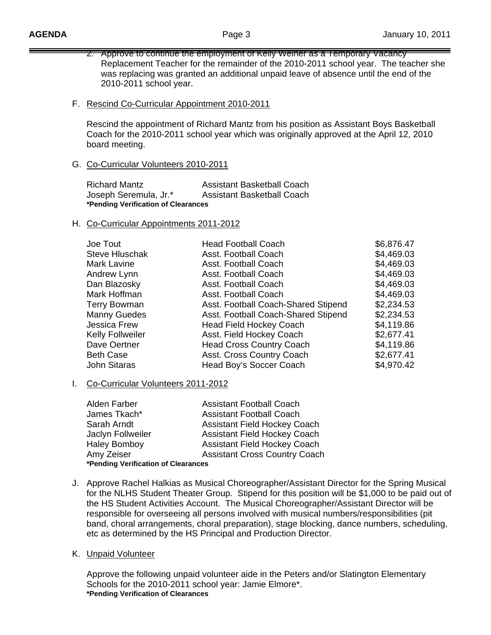- 2. Approve to continue the employment of Kelly Weiner as a Temporary Vacancy Replacement Teacher for the remainder of the 2010-2011 school year. The teacher she was replacing was granted an additional unpaid leave of absence until the end of the 2010-2011 school year.
- F. Rescind Co-Curricular Appointment 2010-2011

Rescind the appointment of Richard Mantz from his position as Assistant Boys Basketball Coach for the 2010-2011 school year which was originally approved at the April 12, 2010 board meeting.

## G. Co-Curricular Volunteers 2010-2011

| <b>Richard Mantz</b>                | <b>Assistant Basketball Coach</b> |  |
|-------------------------------------|-----------------------------------|--|
| Joseph Seremula, Jr.*               | <b>Assistant Basketball Coach</b> |  |
| *Pending Verification of Clearances |                                   |  |

## H. Co-Curricular Appointments 2011-2012

| <b>Head Football Coach</b>          | \$6,876.47 |
|-------------------------------------|------------|
| Asst. Football Coach                | \$4,469.03 |
| Asst. Football Coach                | \$4,469.03 |
| Asst. Football Coach                | \$4,469.03 |
| Asst. Football Coach                | \$4,469.03 |
| Asst. Football Coach                | \$4,469.03 |
| Asst. Football Coach-Shared Stipend | \$2,234.53 |
| Asst. Football Coach-Shared Stipend | \$2,234.53 |
| <b>Head Field Hockey Coach</b>      | \$4,119.86 |
| Asst. Field Hockey Coach            | \$2,677.41 |
| <b>Head Cross Country Coach</b>     | \$4,119.86 |
| Asst. Cross Country Coach           | \$2,677.41 |
| Head Boy's Soccer Coach             | \$4,970.42 |
|                                     |            |

## I. Co-Curricular Volunteers 2011-2012

| Alden Farber                        | <b>Assistant Football Coach</b>      |  |
|-------------------------------------|--------------------------------------|--|
| James Tkach*                        | <b>Assistant Football Coach</b>      |  |
| Sarah Arndt                         | <b>Assistant Field Hockey Coach</b>  |  |
| Jaclyn Follweiler                   | <b>Assistant Field Hockey Coach</b>  |  |
| <b>Haley Bomboy</b>                 | <b>Assistant Field Hockey Coach</b>  |  |
| Amy Zeiser                          | <b>Assistant Cross Country Coach</b> |  |
| *Pending Verification of Clearances |                                      |  |

J. Approve Rachel Halkias as Musical Choreographer/Assistant Director for the Spring Musical for the NLHS Student Theater Group. Stipend for this position will be \$1,000 to be paid out of the HS Student Activities Account. The Musical Choreographer/Assistant Director will be responsible for overseeing all persons involved with musical numbers/responsibilities (pit band, choral arrangements, choral preparation), stage blocking, dance numbers, scheduling, etc as determined by the HS Principal and Production Director.

## K. Unpaid Volunteer

Approve the following unpaid volunteer aide in the Peters and/or Slatington Elementary Schools for the 2010-2011 school year: Jamie Elmore\*. **\*Pending Verification of Clearances**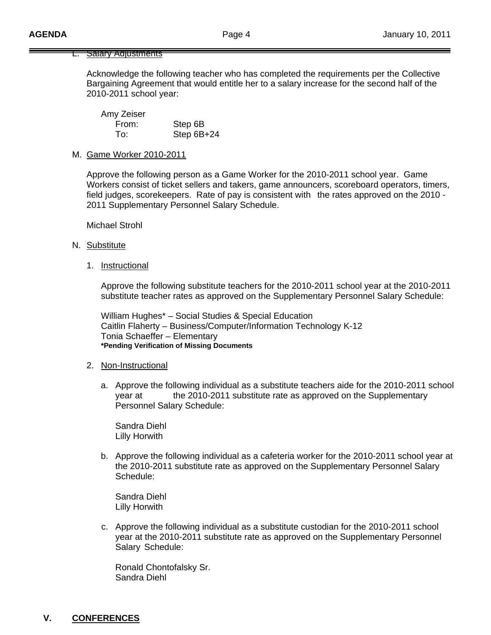### **Salary Adjustments**

Acknowledge the following teacher who has completed the requirements per the Collective Bargaining Agreement that would entitle her to a salary increase for the second half of the 2010-2011 school year:

 Amy Zeiser From: Step 6B To: Step 6B+24

### M. Game Worker 2010-2011

 Approve the following person as a Game Worker for the 2010-2011 school year. Game Workers consist of ticket sellers and takers, game announcers, scoreboard operators, timers, field judges, scorekeepers. Rate of pay is consistent with the rates approved on the 2010 - 2011 Supplementary Personnel Salary Schedule.

Michael Strohl

#### N. Substitute

1. Instructional

 Approve the following substitute teachers for the 2010-2011 school year at the 2010-2011 substitute teacher rates as approved on the Supplementary Personnel Salary Schedule:

 William Hughes\* – Social Studies & Special Education Caitlin Flaherty – Business/Computer/Information Technology K-12 Tonia Schaeffer – Elementary **\*Pending Verification of Missing Documents** 

#### 2. Non-Instructional

a. Approve the following individual as a substitute teachers aide for the 2010-2011 school year at the 2010-2011 substitute rate as approved on the Supplementary Personnel Salary Schedule:

 Sandra Diehl Lilly Horwith

b. Approve the following individual as a cafeteria worker for the 2010-2011 school year at the 2010-2011 substitute rate as approved on the Supplementary Personnel Salary Schedule:

 Sandra Diehl Lilly Horwith

c. Approve the following individual as a substitute custodian for the 2010-2011 school year at the 2010-2011 substitute rate as approved on the Supplementary Personnel Salary Schedule:

 Ronald Chontofalsky Sr. Sandra Diehl

## **V. CONFERENCES**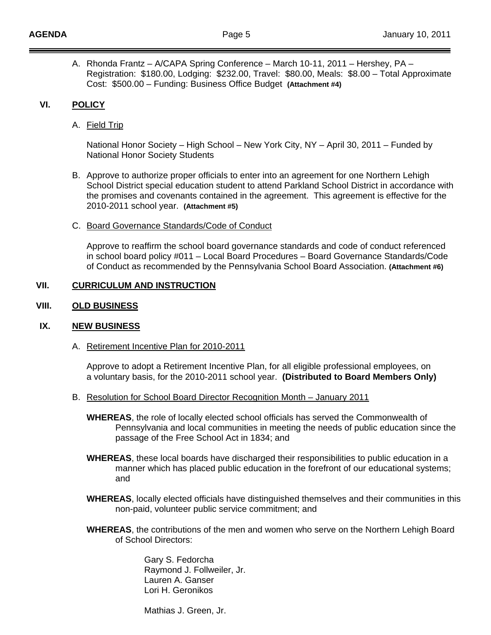A. Rhonda Frantz – A/CAPA Spring Conference – March 10-11, 2011 – Hershey, PA – Registration: \$180.00, Lodging: \$232.00, Travel: \$80.00, Meals: \$8.00 – Total Approximate Cost: \$500.00 – Funding: Business Office Budget **(Attachment #4)**

## **VI. POLICY**

A. Field Trip

National Honor Society – High School – New York City, NY – April 30, 2011 – Funded by National Honor Society Students

- B. Approve to authorize proper officials to enter into an agreement for one Northern Lehigh School District special education student to attend Parkland School District in accordance with the promises and covenants contained in the agreement. This agreement is effective for the 2010-2011 school year. **(Attachment #5)**
- C. Board Governance Standards/Code of Conduct

Approve to reaffirm the school board governance standards and code of conduct referenced in school board policy #011 – Local Board Procedures – Board Governance Standards/Code of Conduct as recommended by the Pennsylvania School Board Association. **(Attachment #6)** 

## **VII. CURRICULUM AND INSTRUCTION**

## **VIII. OLD BUSINESS**

## **IX. NEW BUSINESS**

A. Retirement Incentive Plan for 2010-2011

 Approve to adopt a Retirement Incentive Plan, for all eligible professional employees, on a voluntary basis, for the 2010-2011 school year. **(Distributed to Board Members Only)** 

- B. Resolution for School Board Director Recognition Month January 2011
	- **WHEREAS**, the role of locally elected school officials has served the Commonwealth of Pennsylvania and local communities in meeting the needs of public education since the passage of the Free School Act in 1834; and
	- **WHEREAS**, these local boards have discharged their responsibilities to public education in a manner which has placed public education in the forefront of our educational systems; and
	- **WHEREAS**, locally elected officials have distinguished themselves and their communities in this non-paid, volunteer public service commitment; and
	- **WHEREAS**, the contributions of the men and women who serve on the Northern Lehigh Board of School Directors:

 Gary S. Fedorcha Raymond J. Follweiler, Jr. Lauren A. Ganser Lori H. Geronikos

Mathias J. Green, Jr.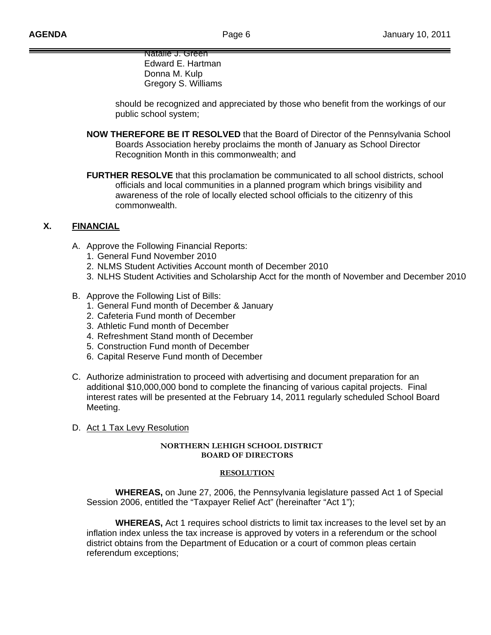Natalie J. Green Edward E. Hartman Donna M. Kulp Gregory S. Williams

 should be recognized and appreciated by those who benefit from the workings of our public school system;

- **NOW THEREFORE BE IT RESOLVED** that the Board of Director of the Pennsylvania School Boards Association hereby proclaims the month of January as School Director Recognition Month in this commonwealth; and
- **FURTHER RESOLVE** that this proclamation be communicated to all school districts, school officials and local communities in a planned program which brings visibility and awareness of the role of locally elected school officials to the citizenry of this commonwealth.

## **X. FINANCIAL**

- A. Approve the Following Financial Reports:
	- 1. General Fund November 2010
	- 2. NLMS Student Activities Account month of December 2010
	- 3. NLHS Student Activities and Scholarship Acct for the month of November and December 2010
- B. Approve the Following List of Bills:
	- 1. General Fund month of December & January
	- 2. Cafeteria Fund month of December
	- 3. Athletic Fund month of December
	- 4. Refreshment Stand month of December
	- 5. Construction Fund month of December
	- 6. Capital Reserve Fund month of December
- C. Authorize administration to proceed with advertising and document preparation for an additional \$10,000,000 bond to complete the financing of various capital projects. Final interest rates will be presented at the February 14, 2011 regularly scheduled School Board Meeting.
- D. Act 1 Tax Levy Resolution

### **NORTHERN LEHIGH SCHOOL DISTRICT BOARD OF DIRECTORS**

### **RESOLUTION**

 **WHEREAS,** on June 27, 2006, the Pennsylvania legislature passed Act 1 of Special Session 2006, entitled the "Taxpayer Relief Act" (hereinafter "Act 1");

 **WHEREAS,** Act 1 requires school districts to limit tax increases to the level set by an inflation index unless the tax increase is approved by voters in a referendum or the school district obtains from the Department of Education or a court of common pleas certain referendum exceptions;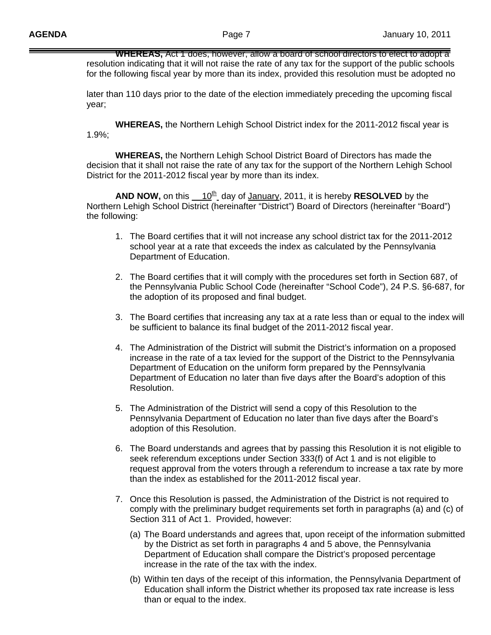**WHEREAS,** Act 1 does, however, allow a board of school directors to elect to adopt a resolution indicating that it will not raise the rate of any tax for the support of the public schools for the following fiscal year by more than its index, provided this resolution must be adopted no

 later than 110 days prior to the date of the election immediately preceding the upcoming fiscal year;

 **WHEREAS,** the Northern Lehigh School District index for the 2011-2012 fiscal year is 1.9%;

 **WHEREAS,** the Northern Lehigh School District Board of Directors has made the decision that it shall not raise the rate of any tax for the support of the Northern Lehigh School District for the 2011-2012 fiscal year by more than its index.

**AND NOW,** on this  $10^{th}$  day of January, 2011, it is hereby **RESOLVED** by the Northern Lehigh School District (hereinafter "District") Board of Directors (hereinafter "Board") the following:

- 1. The Board certifies that it will not increase any school district tax for the 2011-2012 school year at a rate that exceeds the index as calculated by the Pennsylvania Department of Education.
- 2. The Board certifies that it will comply with the procedures set forth in Section 687, of the Pennsylvania Public School Code (hereinafter "School Code"), 24 P.S. §6-687, for the adoption of its proposed and final budget.
- 3. The Board certifies that increasing any tax at a rate less than or equal to the index will be sufficient to balance its final budget of the 2011-2012 fiscal year.
- 4. The Administration of the District will submit the District's information on a proposed increase in the rate of a tax levied for the support of the District to the Pennsylvania Department of Education on the uniform form prepared by the Pennsylvania Department of Education no later than five days after the Board's adoption of this Resolution.
- 5. The Administration of the District will send a copy of this Resolution to the Pennsylvania Department of Education no later than five days after the Board's adoption of this Resolution.
- 6. The Board understands and agrees that by passing this Resolution it is not eligible to seek referendum exceptions under Section 333(f) of Act 1 and is not eligible to request approval from the voters through a referendum to increase a tax rate by more than the index as established for the 2011-2012 fiscal year.
- 7. Once this Resolution is passed, the Administration of the District is not required to comply with the preliminary budget requirements set forth in paragraphs (a) and (c) of Section 311 of Act 1. Provided, however:
	- (a) The Board understands and agrees that, upon receipt of the information submitted by the District as set forth in paragraphs 4 and 5 above, the Pennsylvania Department of Education shall compare the District's proposed percentage increase in the rate of the tax with the index.
	- (b) Within ten days of the receipt of this information, the Pennsylvania Department of Education shall inform the District whether its proposed tax rate increase is less than or equal to the index.